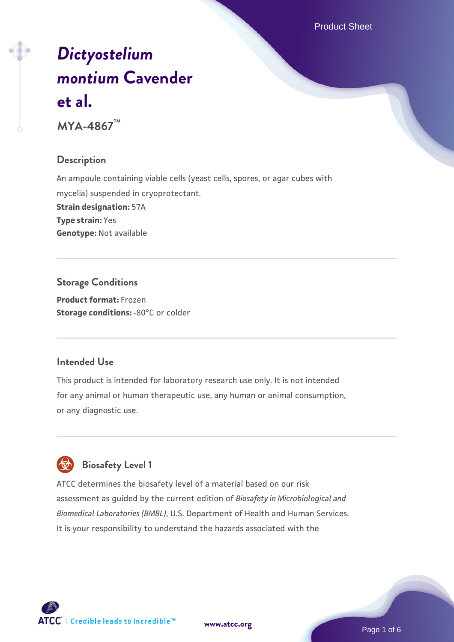Product Sheet

# *[Dictyostelium](https://www.atcc.org/products/mya-4867) [montium](https://www.atcc.org/products/mya-4867)* **[Cavender](https://www.atcc.org/products/mya-4867) [et al.](https://www.atcc.org/products/mya-4867)**

**MYA-4867™**

#### **Description**

An ampoule containing viable cells (yeast cells, spores, or agar cubes with mycelia) suspended in cryoprotectant. **Strain designation:** 57A **Type strain:** Yes **Genotype:** Not available

**Storage Conditions Product format:** Frozen **Storage conditions: -80°C or colder** 

#### **Intended Use**

This product is intended for laboratory research use only. It is not intended for any animal or human therapeutic use, any human or animal consumption, or any diagnostic use.



# **Biosafety Level 1**

ATCC determines the biosafety level of a material based on our risk assessment as guided by the current edition of *Biosafety in Microbiological and Biomedical Laboratories (BMBL)*, U.S. Department of Health and Human Services. It is your responsibility to understand the hazards associated with the

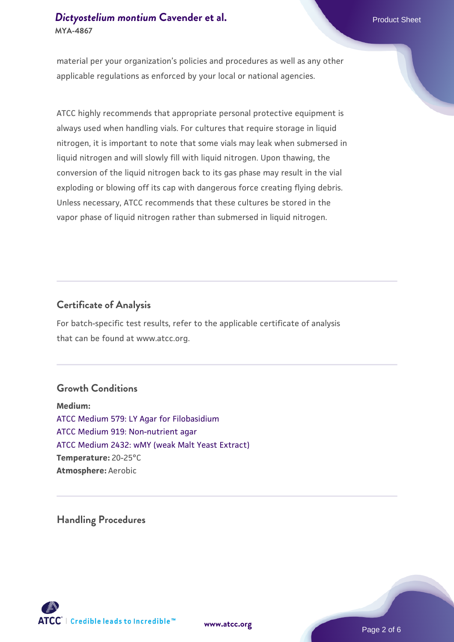material per your organization's policies and procedures as well as any other applicable regulations as enforced by your local or national agencies.

ATCC highly recommends that appropriate personal protective equipment is always used when handling vials. For cultures that require storage in liquid nitrogen, it is important to note that some vials may leak when submersed in liquid nitrogen and will slowly fill with liquid nitrogen. Upon thawing, the conversion of the liquid nitrogen back to its gas phase may result in the vial exploding or blowing off its cap with dangerous force creating flying debris. Unless necessary, ATCC recommends that these cultures be stored in the vapor phase of liquid nitrogen rather than submersed in liquid nitrogen.

# **Certificate of Analysis**

For batch-specific test results, refer to the applicable certificate of analysis that can be found at www.atcc.org.

# **Growth Conditions**

**Medium:**  [ATCC Medium 579: LY Agar for Filobasidium](https://www.atcc.org/-/media/product-assets/documents/microbial-media-formulations/7/9/atcc-medium-579.pdf?rev=75445afb297c40aebf73802116dde054) [ATCC Medium 919: Non-nutrient agar](https://www.atcc.org/-/media/product-assets/documents/microbial-media-formulations/9/1/9/atcc-medium-919.pdf?rev=f4e1e31d2b4249c2a4e4c31a4c703c9e) [ATCC Medium 2432: wMY \(weak Malt Yeast Extract\)](https://www.atcc.org/-/media/product-assets/documents/microbial-media-formulations/2/4/3/2/atcc-medium-2432.pdf?rev=f73d483e590547a9aed0a61b07a0a2da) **Temperature:** 20-25°C **Atmosphere:** Aerobic

**Handling Procedures**



**[www.atcc.org](http://www.atcc.org)**

Page 2 of 6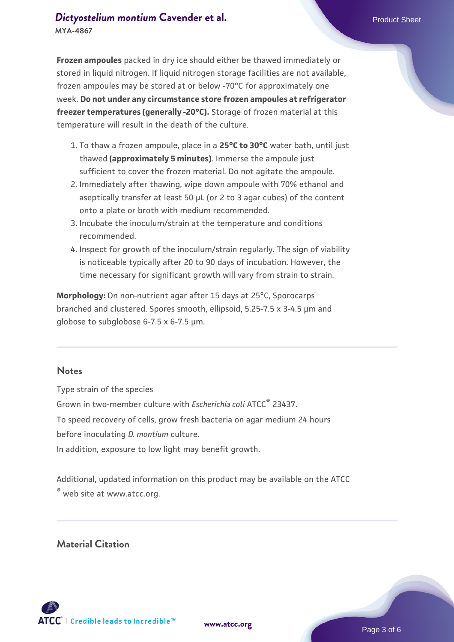**Frozen ampoules** packed in dry ice should either be thawed immediately or stored in liquid nitrogen. If liquid nitrogen storage facilities are not available, frozen ampoules may be stored at or below -70°C for approximately one week. **Do not under any circumstance store frozen ampoules at refrigerator freezer temperatures (generally -20°C).** Storage of frozen material at this temperature will result in the death of the culture.

- 1. To thaw a frozen ampoule, place in a **25°C to 30°C** water bath, until just thawed **(approximately 5 minutes)**. Immerse the ampoule just sufficient to cover the frozen material. Do not agitate the ampoule.
- 2. Immediately after thawing, wipe down ampoule with 70% ethanol and aseptically transfer at least 50 µL (or 2 to 3 agar cubes) of the content onto a plate or broth with medium recommended.
- Incubate the inoculum/strain at the temperature and conditions 3. recommended.
- 4. Inspect for growth of the inoculum/strain regularly. The sign of viability is noticeable typically after 20 to 90 days of incubation. However, the time necessary for significant growth will vary from strain to strain.

**Morphology:** On non-nutrient agar after 15 days at 25°C, Sporocarps branched and clustered. Spores smooth, ellipsoid, 5.25-7.5 x 3-4.5 µm and globose to subglobose 6-7.5 x 6-7.5 µm.

#### **Notes**

Type strain of the species

Grown in two-member culture with *Escherichia coli* ATCC® 23437.

To speed recovery of cells, grow fresh bacteria on agar medium 24 hours

before inoculating *D. montium* culture.

In addition, exposure to low light may benefit growth.

Additional, updated information on this product may be available on the ATCC

® web site at www.atcc.org.

#### **Material Citation**

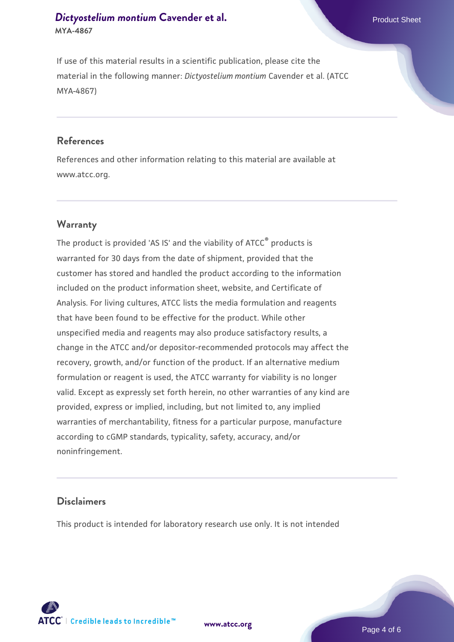If use of this material results in a scientific publication, please cite the material in the following manner: *Dictyostelium montium* Cavender et al. (ATCC MYA-4867)

#### **References**

References and other information relating to this material are available at www.atcc.org.

#### **Warranty**

The product is provided 'AS IS' and the viability of ATCC<sup>®</sup> products is warranted for 30 days from the date of shipment, provided that the customer has stored and handled the product according to the information included on the product information sheet, website, and Certificate of Analysis. For living cultures, ATCC lists the media formulation and reagents that have been found to be effective for the product. While other unspecified media and reagents may also produce satisfactory results, a change in the ATCC and/or depositor-recommended protocols may affect the recovery, growth, and/or function of the product. If an alternative medium formulation or reagent is used, the ATCC warranty for viability is no longer valid. Except as expressly set forth herein, no other warranties of any kind are provided, express or implied, including, but not limited to, any implied warranties of merchantability, fitness for a particular purpose, manufacture according to cGMP standards, typicality, safety, accuracy, and/or noninfringement.

# **Disclaimers**

This product is intended for laboratory research use only. It is not intended





Page 4 of 6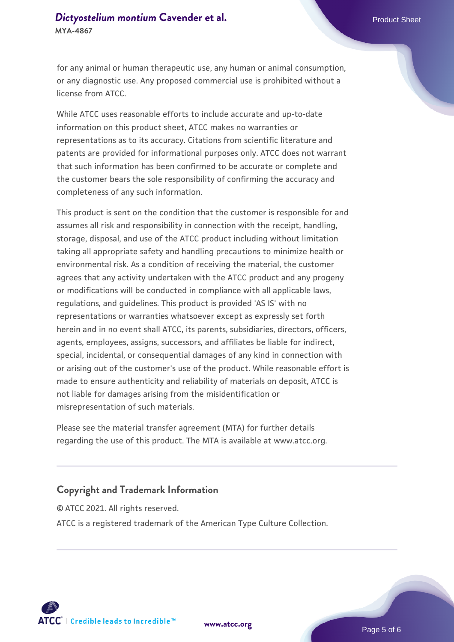for any animal or human therapeutic use, any human or animal consumption, or any diagnostic use. Any proposed commercial use is prohibited without a license from ATCC.

While ATCC uses reasonable efforts to include accurate and up-to-date information on this product sheet, ATCC makes no warranties or representations as to its accuracy. Citations from scientific literature and patents are provided for informational purposes only. ATCC does not warrant that such information has been confirmed to be accurate or complete and the customer bears the sole responsibility of confirming the accuracy and completeness of any such information.

This product is sent on the condition that the customer is responsible for and assumes all risk and responsibility in connection with the receipt, handling, storage, disposal, and use of the ATCC product including without limitation taking all appropriate safety and handling precautions to minimize health or environmental risk. As a condition of receiving the material, the customer agrees that any activity undertaken with the ATCC product and any progeny or modifications will be conducted in compliance with all applicable laws, regulations, and guidelines. This product is provided 'AS IS' with no representations or warranties whatsoever except as expressly set forth herein and in no event shall ATCC, its parents, subsidiaries, directors, officers, agents, employees, assigns, successors, and affiliates be liable for indirect, special, incidental, or consequential damages of any kind in connection with or arising out of the customer's use of the product. While reasonable effort is made to ensure authenticity and reliability of materials on deposit, ATCC is not liable for damages arising from the misidentification or misrepresentation of such materials.

Please see the material transfer agreement (MTA) for further details regarding the use of this product. The MTA is available at www.atcc.org.

# **Copyright and Trademark Information**

© ATCC 2021. All rights reserved. ATCC is a registered trademark of the American Type Culture Collection.





Page 5 of 6